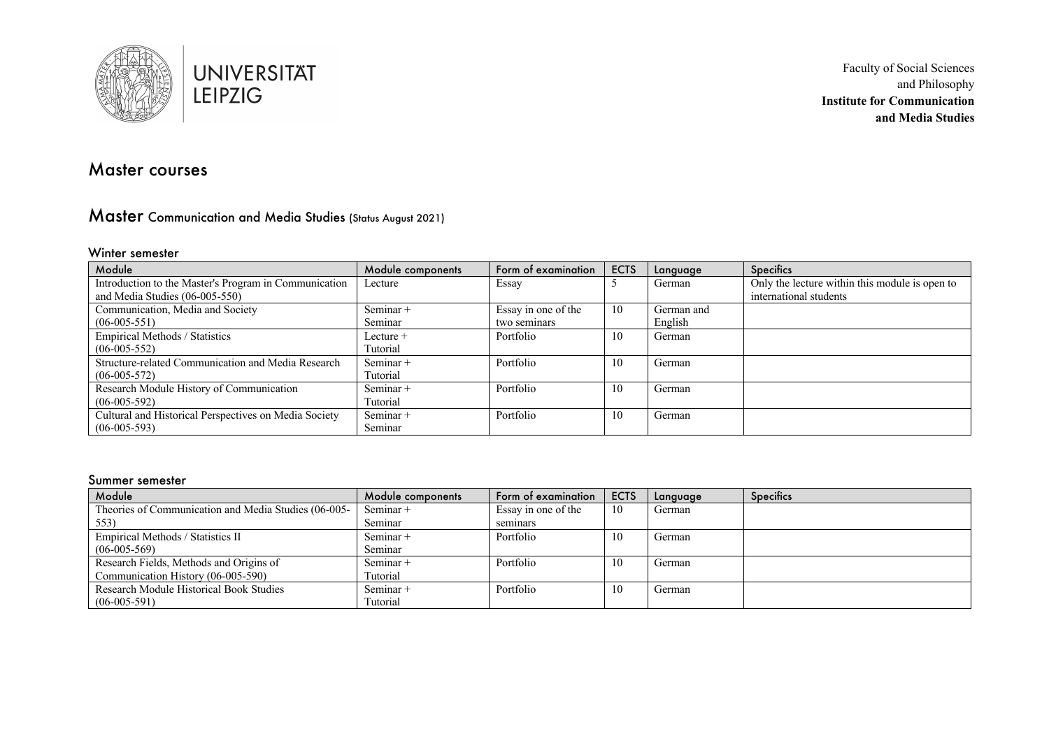

# Master courses

# Master Communication and Media Studies (Status August 2021)

#### Winter semester

| Module                                                | Module components | Form of examination | <b>ECTS</b> | Language   | <b>Specifics</b>                               |
|-------------------------------------------------------|-------------------|---------------------|-------------|------------|------------------------------------------------|
| Introduction to the Master's Program in Communication | Lecture           | Essay               |             | German     | Only the lecture within this module is open to |
| and Media Studies (06-005-550)                        |                   |                     |             |            | international students                         |
| Communication, Media and Society                      | Seminar +         | Essay in one of the | 10          | German and |                                                |
| $(06-005-551)$                                        | Seminar           | two seminars        |             | English    |                                                |
| Empirical Methods / Statistics                        | Lecture +         | Portfolio           | 10          | German     |                                                |
| $(06-005-552)$                                        | Tutorial          |                     |             |            |                                                |
| Structure-related Communication and Media Research    | Seminar +         | Portfolio           | 10          | German     |                                                |
| $(06-005-572)$                                        | Tutorial          |                     |             |            |                                                |
| Research Module History of Communication              | Seminar +         | Portfolio           | 10          | German     |                                                |
| $(06-005-592)$                                        | Tutorial          |                     |             |            |                                                |
| Cultural and Historical Perspectives on Media Society | Seminar +         | Portfolio           | 10          | German     |                                                |
| $(06-005-593)$                                        | Seminar           |                     |             |            |                                                |

#### Summer semester

| Module                                               | Module components | Form of examination | <b>ECTS</b> | Language | <b>Specifics</b> |
|------------------------------------------------------|-------------------|---------------------|-------------|----------|------------------|
| Theories of Communication and Media Studies (06-005- | Seminar +         | Essay in one of the | 10          | German   |                  |
| 553)                                                 | Seminar           | seminars            |             |          |                  |
| Empirical Methods / Statistics II                    | Seminar +         | Portfolio           | 10          | German   |                  |
| $(06-005-569)$                                       | Seminar           |                     |             |          |                  |
| Research Fields, Methods and Origins of              | Seminar +         | Portfolio           | 10          | German   |                  |
| Communication History (06-005-590)                   | Tutorial          |                     |             |          |                  |
| Research Module Historical Book Studies              | Seminar +         | Portfolio           | 10          | German   |                  |
| $(06-005-591)$                                       | Tutorial          |                     |             |          |                  |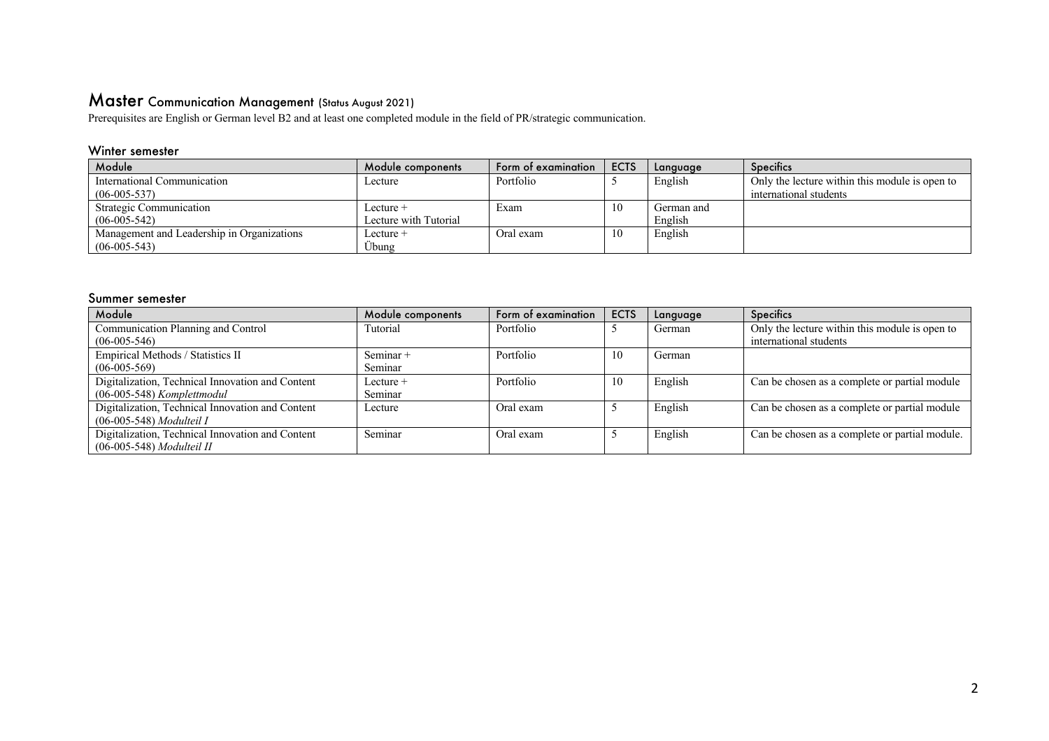## Master Communication Management (Status August 2021)

Prerequisites are English or German level B2 and at least one completed module in the field of PR/strategic communication.

### Winter semester

| Module                                     | Module components     | Form of examination | <b>ECTS</b> | Language   | Specifics                                      |
|--------------------------------------------|-----------------------|---------------------|-------------|------------|------------------------------------------------|
| International Communication                | Lecture               | Portfolio           |             | English    | Only the lecture within this module is open to |
| $(06-005-537)$                             |                       |                     |             |            | international students                         |
| Strategic Communication                    | Lecture +             | Exam                | 10          | German and |                                                |
| $(06-005-542)$                             | Lecture with Tutorial |                     |             | English    |                                                |
| Management and Leadership in Organizations | Lecture +             | Oral exam-          |             | English    |                                                |
| $(06-005-543)$                             | Übung                 |                     |             |            |                                                |

#### Summer semester

| Module                                           | Module components | Form of examination | <b>ECTS</b> | Language | <b>Specifics</b>                               |
|--------------------------------------------------|-------------------|---------------------|-------------|----------|------------------------------------------------|
| Communication Planning and Control               | Tutorial          | Portfolio           |             | German   | Only the lecture within this module is open to |
| $(06-005-546)$                                   |                   |                     |             |          | international students                         |
| Empirical Methods / Statistics II                | Seminar +         | Portfolio           | 10          | German   |                                                |
| $(06-005-569)$                                   | Seminar           |                     |             |          |                                                |
| Digitalization, Technical Innovation and Content | Lecture +         | Portfolio           | 10          | English  | Can be chosen as a complete or partial module  |
| $(06-005-548)$ Komplettmodul                     | Seminar           |                     |             |          |                                                |
| Digitalization, Technical Innovation and Content | Lecture           | Oral exam           |             | English  | Can be chosen as a complete or partial module  |
| $(06-005-548)$ Modulteil I                       |                   |                     |             |          |                                                |
| Digitalization, Technical Innovation and Content | Seminar           | Oral exam           |             | English  | Can be chosen as a complete or partial module. |
| $(06-005-548)$ Modulteil II                      |                   |                     |             |          |                                                |